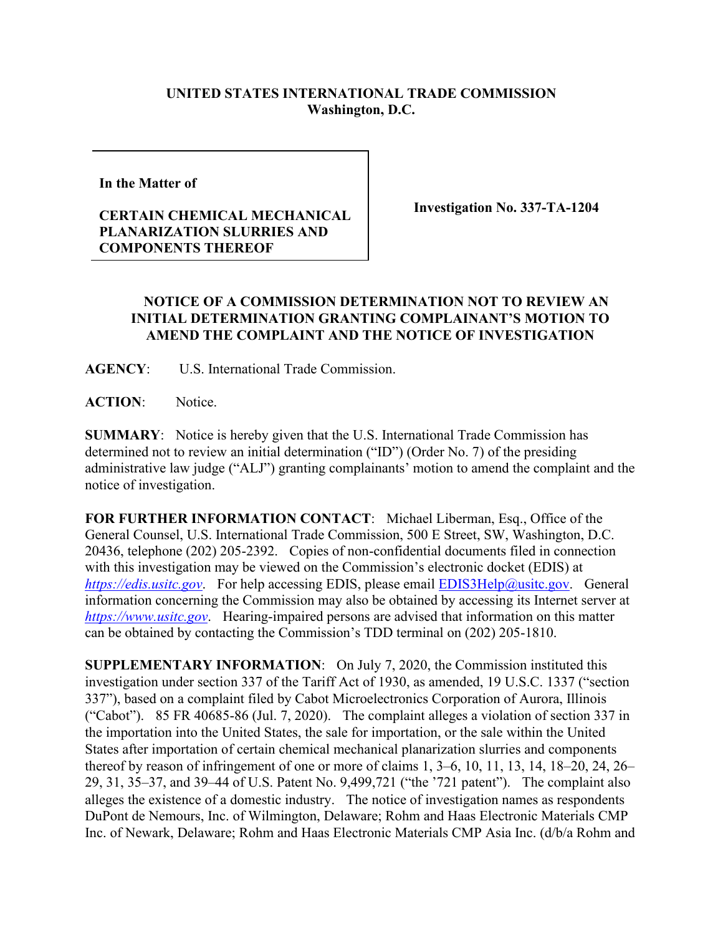## **UNITED STATES INTERNATIONAL TRADE COMMISSION Washington, D.C.**

**In the Matter of** 

## **CERTAIN CHEMICAL MECHANICAL PLANARIZATION SLURRIES AND COMPONENTS THEREOF**

**Investigation No. 337-TA-1204**

## **NOTICE OF A COMMISSION DETERMINATION NOT TO REVIEW AN INITIAL DETERMINATION GRANTING COMPLAINANT'S MOTION TO AMEND THE COMPLAINT AND THE NOTICE OF INVESTIGATION**

**AGENCY**: U.S. International Trade Commission.

**ACTION**: Notice.

**SUMMARY**: Notice is hereby given that the U.S. International Trade Commission has determined not to review an initial determination ("ID") (Order No. 7) of the presiding administrative law judge ("ALJ") granting complainants' motion to amend the complaint and the notice of investigation.

**FOR FURTHER INFORMATION CONTACT**: Michael Liberman, Esq., Office of the General Counsel, U.S. International Trade Commission, 500 E Street, SW, Washington, D.C. 20436, telephone (202) 205-2392. Copies of non-confidential documents filed in connection with this investigation may be viewed on the Commission's electronic docket (EDIS) at *[https://edis.usitc.gov](https://edis.usitc.gov/)*. For help accessing EDIS, please email [EDIS3Help@usitc.gov.](mailto:EDIS3Help@usitc.gov) General information concerning the Commission may also be obtained by accessing its Internet server at *[https://www.usitc.gov](https://www.usitc.gov/)*. Hearing-impaired persons are advised that information on this matter can be obtained by contacting the Commission's TDD terminal on (202) 205-1810.

**SUPPLEMENTARY INFORMATION**: On July 7, 2020, the Commission instituted this investigation under section 337 of the Tariff Act of 1930, as amended, 19 U.S.C. 1337 ("section 337"), based on a complaint filed by Cabot Microelectronics Corporation of Aurora, Illinois ("Cabot"). 85 FR 40685-86 (Jul. 7, 2020). The complaint alleges a violation of section 337 in the importation into the United States, the sale for importation, or the sale within the United States after importation of certain chemical mechanical planarization slurries and components thereof by reason of infringement of one or more of claims 1, 3–6, 10, 11, 13, 14, 18–20, 24, 26– 29, 31, 35–37, and 39–44 of U.S. Patent No. 9,499,721 ("the '721 patent"). The complaint also alleges the existence of a domestic industry. The notice of investigation names as respondents DuPont de Nemours, Inc. of Wilmington, Delaware; Rohm and Haas Electronic Materials CMP Inc. of Newark, Delaware; Rohm and Haas Electronic Materials CMP Asia Inc. (d/b/a Rohm and